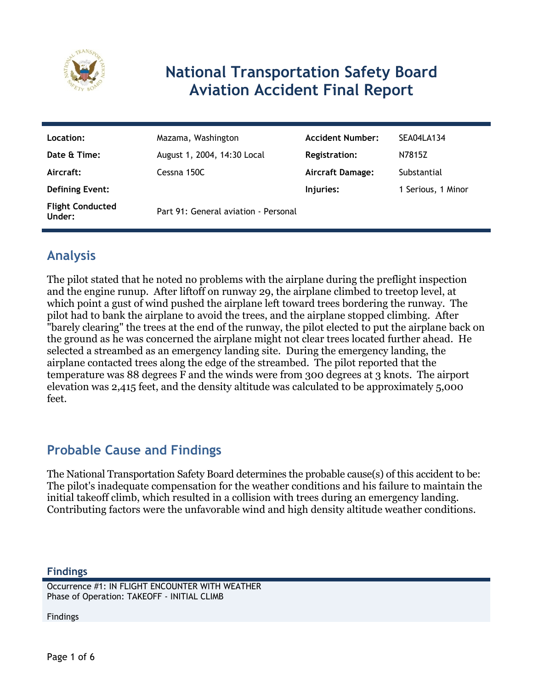

# **National Transportation Safety Board Aviation Accident Final Report**

| Location:                         | Mazama, Washington                   | <b>Accident Number:</b> | SEA04LA134         |
|-----------------------------------|--------------------------------------|-------------------------|--------------------|
| Date & Time:                      | August 1, 2004, 14:30 Local          | Registration:           | N7815Z             |
| Aircraft:                         | Cessna 150C                          | <b>Aircraft Damage:</b> | Substantial        |
| <b>Defining Event:</b>            |                                      | Injuries:               | 1 Serious, 1 Minor |
| <b>Flight Conducted</b><br>Under: | Part 91: General aviation - Personal |                         |                    |

## **Analysis**

The pilot stated that he noted no problems with the airplane during the preflight inspection and the engine runup. After liftoff on runway 29, the airplane climbed to treetop level, at which point a gust of wind pushed the airplane left toward trees bordering the runway. The pilot had to bank the airplane to avoid the trees, and the airplane stopped climbing. After "barely clearing" the trees at the end of the runway, the pilot elected to put the airplane back on the ground as he was concerned the airplane might not clear trees located further ahead. He selected a streambed as an emergency landing site. During the emergency landing, the airplane contacted trees along the edge of the streambed. The pilot reported that the temperature was 88 degrees F and the winds were from 300 degrees at 3 knots. The airport elevation was 2,415 feet, and the density altitude was calculated to be approximately 5,000 feet.

### **Probable Cause and Findings**

The National Transportation Safety Board determines the probable cause(s) of this accident to be: The pilot's inadequate compensation for the weather conditions and his failure to maintain the initial takeoff climb, which resulted in a collision with trees during an emergency landing. Contributing factors were the unfavorable wind and high density altitude weather conditions.

#### **Findings**

Occurrence #1: IN FLIGHT ENCOUNTER WITH WEATHER Phase of Operation: TAKEOFF - INITIAL CLIMB

Findings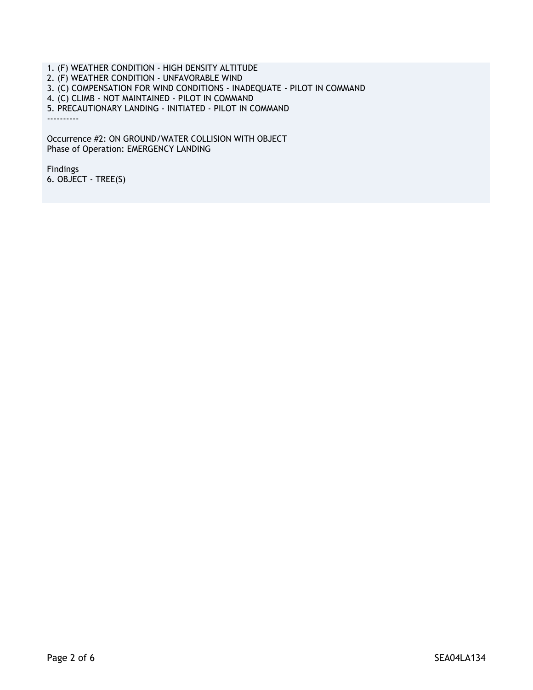1. (F) WEATHER CONDITION - HIGH DENSITY ALTITUDE 2. (F) WEATHER CONDITION - UNFAVORABLE WIND 3. (C) COMPENSATION FOR WIND CONDITIONS - INADEQUATE - PILOT IN COMMAND 4. (C) CLIMB - NOT MAINTAINED - PILOT IN COMMAND 5. PRECAUTIONARY LANDING - INITIATED - PILOT IN COMMAND ----------

Occurrence #2: ON GROUND/WATER COLLISION WITH OBJECT Phase of Operation: EMERGENCY LANDING

Findings 6. OBJECT - TREE(S)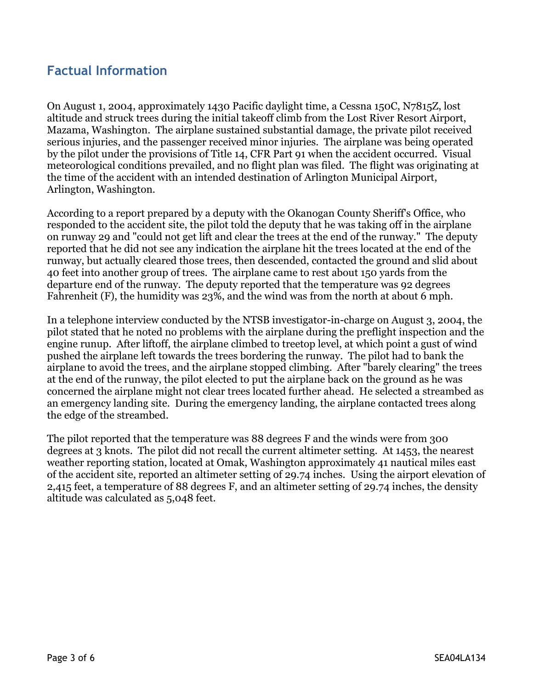### **Factual Information**

On August 1, 2004, approximately 1430 Pacific daylight time, a Cessna 150C, N7815Z, lost altitude and struck trees during the initial takeoff climb from the Lost River Resort Airport, Mazama, Washington. The airplane sustained substantial damage, the private pilot received serious injuries, and the passenger received minor injuries. The airplane was being operated by the pilot under the provisions of Title 14, CFR Part 91 when the accident occurred. Visual meteorological conditions prevailed, and no flight plan was filed. The flight was originating at the time of the accident with an intended destination of Arlington Municipal Airport, Arlington, Washington.

According to a report prepared by a deputy with the Okanogan County Sheriff's Office, who responded to the accident site, the pilot told the deputy that he was taking off in the airplane on runway 29 and "could not get lift and clear the trees at the end of the runway." The deputy reported that he did not see any indication the airplane hit the trees located at the end of the runway, but actually cleared those trees, then descended, contacted the ground and slid about 40 feet into another group of trees. The airplane came to rest about 150 yards from the departure end of the runway. The deputy reported that the temperature was 92 degrees Fahrenheit (F), the humidity was 23%, and the wind was from the north at about 6 mph.

In a telephone interview conducted by the NTSB investigator-in-charge on August 3, 2004, the pilot stated that he noted no problems with the airplane during the preflight inspection and the engine runup. After liftoff, the airplane climbed to treetop level, at which point a gust of wind pushed the airplane left towards the trees bordering the runway. The pilot had to bank the airplane to avoid the trees, and the airplane stopped climbing. After "barely clearing" the trees at the end of the runway, the pilot elected to put the airplane back on the ground as he was concerned the airplane might not clear trees located further ahead. He selected a streambed as an emergency landing site. During the emergency landing, the airplane contacted trees along the edge of the streambed.

The pilot reported that the temperature was 88 degrees F and the winds were from 300 degrees at 3 knots. The pilot did not recall the current altimeter setting. At 1453, the nearest weather reporting station, located at Omak, Washington approximately 41 nautical miles east of the accident site, reported an altimeter setting of 29.74 inches. Using the airport elevation of 2,415 feet, a temperature of 88 degrees F, and an altimeter setting of 29.74 inches, the density altitude was calculated as 5,048 feet.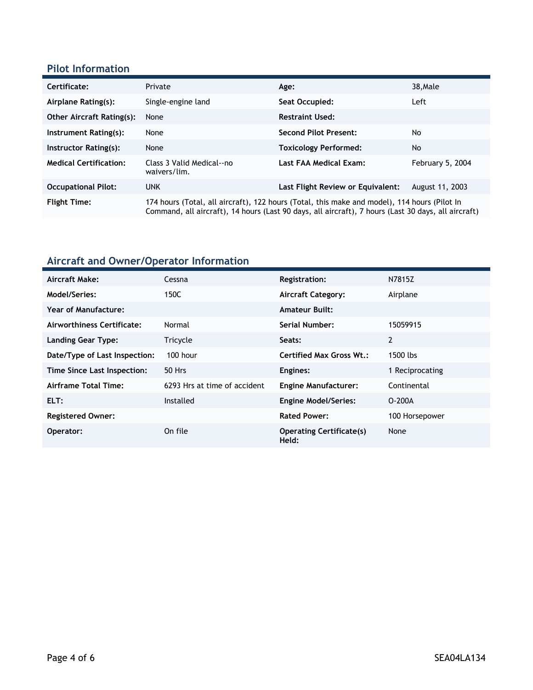#### **Pilot Information**

| Certificate:                     | Private                                                                                                                                                                                             | Age:                              | 38, Male         |
|----------------------------------|-----------------------------------------------------------------------------------------------------------------------------------------------------------------------------------------------------|-----------------------------------|------------------|
| Airplane Rating(s):              | Single-engine land                                                                                                                                                                                  | Seat Occupied:                    | Left             |
| <b>Other Aircraft Rating(s):</b> | None                                                                                                                                                                                                | <b>Restraint Used:</b>            |                  |
| Instrument Rating(s):            | None                                                                                                                                                                                                | <b>Second Pilot Present:</b>      | No               |
| Instructor Rating(s):            | None                                                                                                                                                                                                | <b>Toxicology Performed:</b>      | No               |
| <b>Medical Certification:</b>    | Class 3 Valid Medical--no<br>waivers/lim.                                                                                                                                                           | Last FAA Medical Exam:            | February 5, 2004 |
| <b>Occupational Pilot:</b>       | <b>UNK</b>                                                                                                                                                                                          | Last Flight Review or Equivalent: | August 11, 2003  |
| <b>Flight Time:</b>              | 174 hours (Total, all aircraft), 122 hours (Total, this make and model), 114 hours (Pilot In<br>Command, all aircraft), 14 hours (Last 90 days, all aircraft), 7 hours (Last 30 days, all aircraft) |                                   |                  |

### **Aircraft and Owner/Operator Information**

| Aircraft Make:                | Cessna                       | <b>Registration:</b>                     | N7815Z          |
|-------------------------------|------------------------------|------------------------------------------|-----------------|
| Model/Series:                 | 150C                         | <b>Aircraft Category:</b>                | Airplane        |
| <b>Year of Manufacture:</b>   |                              | <b>Amateur Built:</b>                    |                 |
| Airworthiness Certificate:    | Normal                       | Serial Number:                           | 15059915        |
| <b>Landing Gear Type:</b>     | Tricycle                     | Seats:                                   | 2               |
| Date/Type of Last Inspection: | $100$ hour                   | <b>Certified Max Gross Wt.:</b>          | 1500 lbs        |
| Time Since Last Inspection:   | <b>50 Hrs</b>                | Engines:                                 | 1 Reciprocating |
| Airframe Total Time:          | 6293 Hrs at time of accident | <b>Engine Manufacturer:</b>              | Continental     |
| ELT:                          | Installed                    | <b>Engine Model/Series:</b>              | $O-200A$        |
| <b>Registered Owner:</b>      |                              | <b>Rated Power:</b>                      | 100 Horsepower  |
| Operator:                     | On file                      | <b>Operating Certificate(s)</b><br>Held: | None            |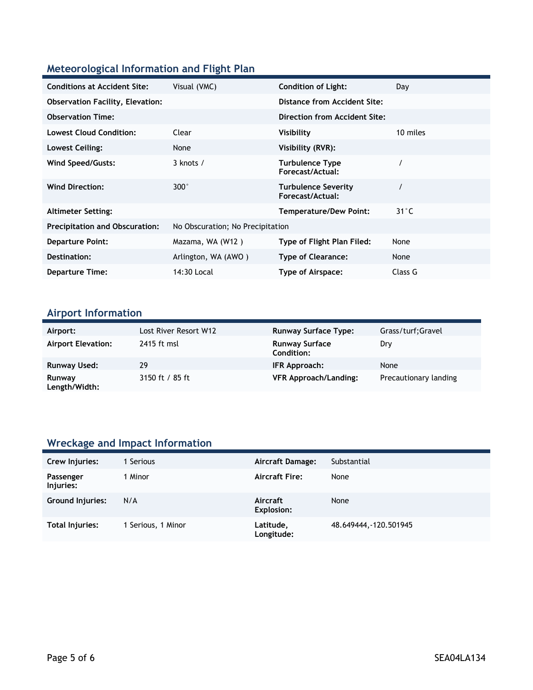### **Meteorological Information and Flight Plan**

| <b>Conditions at Accident Site:</b>     | Visual (VMC)                     | <b>Condition of Light:</b>                 | Day            |
|-----------------------------------------|----------------------------------|--------------------------------------------|----------------|
| <b>Observation Facility, Elevation:</b> |                                  | <b>Distance from Accident Site:</b>        |                |
| <b>Observation Time:</b>                |                                  | Direction from Accident Site:              |                |
| <b>Lowest Cloud Condition:</b>          | Clear                            | Visibility                                 | 10 miles       |
| Lowest Ceiling:                         | None                             | Visibility (RVR):                          |                |
| Wind Speed/Gusts:                       | $3$ knots $/$                    | <b>Turbulence Type</b><br>Forecast/Actual: |                |
| <b>Wind Direction:</b>                  | $300^\circ$                      | Turbulence Severity<br>Forecast/Actual:    |                |
| <b>Altimeter Setting:</b>               |                                  | <b>Temperature/Dew Point:</b>              | $31^{\circ}$ C |
| <b>Precipitation and Obscuration:</b>   | No Obscuration; No Precipitation |                                            |                |
| <b>Departure Point:</b>                 | Mazama, WA (W12)                 | Type of Flight Plan Filed:                 | None           |
| Destination:                            | Arlington, WA (AWO)              | <b>Type of Clearance:</b>                  | None           |
| <b>Departure Time:</b>                  | 14:30 Local                      | Type of Airspace:                          | Class G        |

## **Airport Information**

| Airport:                  | Lost River Resort W12 | <b>Runway Surface Type:</b>                | Grass/turf;Gravel     |
|---------------------------|-----------------------|--------------------------------------------|-----------------------|
| <b>Airport Elevation:</b> | 2415 ft msl           | <b>Runway Surface</b><br><b>Condition:</b> | Dry                   |
| <b>Runway Used:</b>       | 29                    | IFR Approach:                              | None                  |
| Runway<br>Length/Width:   | 3150 ft / 85 ft       | <b>VFR Approach/Landing:</b>               | Precautionary landing |

## **Wreckage and Impact Information**

| Crew Injuries:          | Serious            | Aircraft Damage:        | Substantial            |
|-------------------------|--------------------|-------------------------|------------------------|
| Passenger<br>Injuries:  | 1 Minor            | <b>Aircraft Fire:</b>   | None                   |
| <b>Ground Injuries:</b> | N/A                | Aircraft<br>Explosion:  | None                   |
| Total Injuries:         | 1 Serious, 1 Minor | Latitude,<br>Longitude: | 48.649444, -120.501945 |